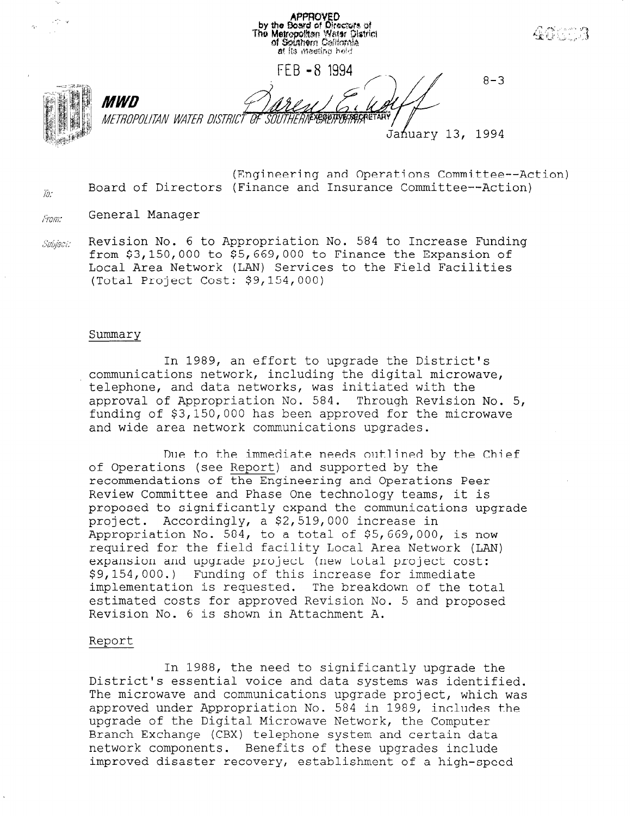by the Board of Directors of<br>The Metropolitan Water District<br>of Southern California at its macting held FFB -8 1994  $8 - 3$ MWN **JEYEQUITYE BECRETARY** METROPOLITAN WATER DISTRICT OF SOUTHERI Jafiuary 13, 1994

(Engineering and Operations Committee--Ac Board of Directors (Finance and Insurance Committee--Ac

**APPROVED** 

General Manager From.

 $\bar{m}$ 

Revision No. 6 to Appropriation No. 584 to Increase Fundin Subject: from \$3,150,000 to \$5,669,000 to Finance the Expansion of Local Area Network (LAN) Services to the Field Facilities (Total Project Cost: \$9,154,000)

#### Summary

In 1989, an effort to upgrade the District's communications network, including the digital microwave, telephone, and data networks, was initiated with the approval of Appropriation No. 584. Through Revision No. 5, funding of \$3,150,000 has been approved for the microwave and wide area network communications upgrades.

Due to the immediate needs outlined by the Chief of Operations (see Report) and supported by the recommendations of the Engineering and Operations Peer Review Committee and Phase One technology teams, it is proposed to significantly expand the communications upgrade project. Accordingly, a \$2,519,000 increase in Appropriation No. 584, to a total of \$5,669,000, is now required for the field facility Local Area Network (LAN) expansion and upgrade project (new total project cost: \$9,154,000.) Funding of this increase for immediate implementation is requested. The breakdown of the total estimated costs for approved Revision No. 5 and proposed Revision No. 6 is shown in Attachment A.

#### Report

In 1988, the need to significantly upgrade the District's essential voice and data systems was identified. The microwave and communications upgrade project, which was approved under Approximation No. 584 in 1999, include the the dpproved under Appropriation No. 504 in 1909, include upgrade of the Digital Microwave Network, the Computer<br>Branch Exchange (CBX) telephone system and certain data network components. Benefits of these upgrades include improved disaster recovery, establishment of a high-speed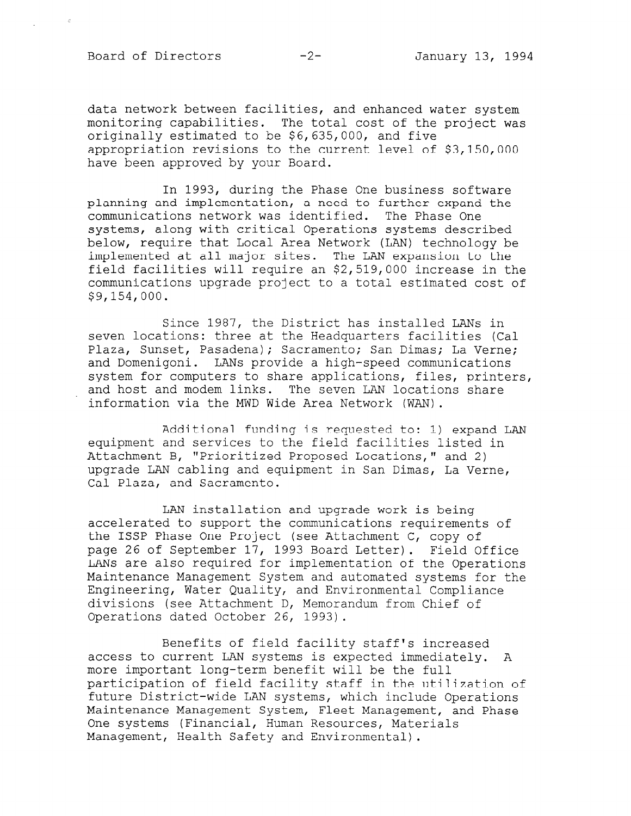Board of Directors -2- January 13, 1994

data network between facilities, and enhanced water system monitoring capabilities. The total cost of the project was originally estimated to be \$6,635,000, and five appropriation revisions to the current level of \$3,150,000 have been approved by your Board.

In 1993, during the Phase One business software planning and implementation, a need to further expand the communications network was identified. The Phase One systems, along with critical Operations systems described below, require that Local Area Network (LAN) technology be implemented at all major sites. The LAN expansion to the field facilities will require an \$2,519,000 increase in the communications upgrade project to a total estimated cost of \$9,154,000.

Since 1987, the District has installed LANs in seven locations: three at the Headquarters facilities (Cal Plaza, Sunset, Pasadena); Sacramento; San Dimas; La Verne; and Domenigoni. LANs provide a high-speed communications system for computers to share applications, files, printers, and host and modem links. The seven LAN locations share information via the MWD Wide Area Network (WAN).

Additional funding is requested to: 1) expand LAN equipment and services to the field facilities listed in Attachment B, "Prioritized Proposed Locations," and 2) upgrade LAN cabling and equipment in San Dimas, La Verne, Cal Plaza, and Sacramento.

LAN installation and upgrade work is being accelerated to support the communications requirements of the ISSP Phase One Project (see Attachment C, copy of page 26 of September 17, 1993 Board Letter). Field Office LANs are also required for implementation of the Operations Maintenance Management System and automated systems for the Engineering, Water Quality, and Environmental Compliance divisions (see Attachment D, Memorandum from Chief of Operations dated October 26, 1993).

Benefits of field facility staff's increased access to current LAN systems is expected immediately. A more important long-term benefit will be the full participation of field facility staff in the utilization of future District-wide LAN systems, which include Operations Maintenance Management, Maintenance Operations maintenance management system, Fieet management, One systems (Financial, Human Resources, Materials<br>Management, Health Safety and Environmental).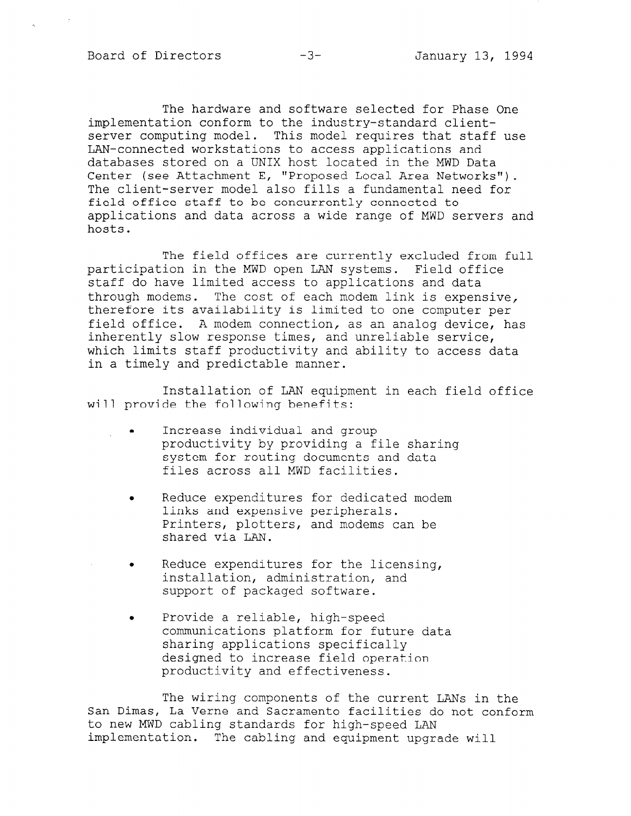The hardware and software selected for Phase One implementation conform to the industry-standard clientserver computing model. This model requires that staff use LAN-connected workstations to access applications and databases stored on a UNIX host located in the MWD Data Center (see Attachment E, "Proposed Local Area Networks"). The client-server model also fills a fundamental need for field office staff to be concurrently connected to applications and data across a wide range of MWD servers and hosts.

The field offices are currently excluded from full participation in the MWD open LAN systems. Field office staff do have limited access to applications and data through modems. The cost of each modem link is expensive, therefore its availability is limited to one computer per field office. A modem connection, as an analog device, has inherently slow response times, and unreliable service, which limits staff productivity and ability to access data in a timely and predictable manner.

Installation of LAN equipment in each field office will provide the following benefits:

- . Increase individual and group productivity by providing a file sharing system for routing documents and data files across all MWD facilities.
- . Reduce expenditures for dedicated modem links and expensive peripherals. Printers, plotters, and modems can be shared via LAN.
- . Reduce expenditures for the licensing, installation, administration, and support of packaged software.
- . Provide a reliable, high-speed communications platform for future data sharing applications specifically designed to increase field operation productivity and effectiveness.

The wiring components of the current LANs in the San Dimas, La Verne and Sacramento facilities do not conformed the conformation of conformation facilities do n<br>The Verne and Sacramento facilities do not conform facilities of the conformation of conformation facilities o San Dimas, La Verne and Sacramento facilities do not conform<br>to new MWD cabling standards for high-speed LAN implementation. The cabling and equipment upgrade will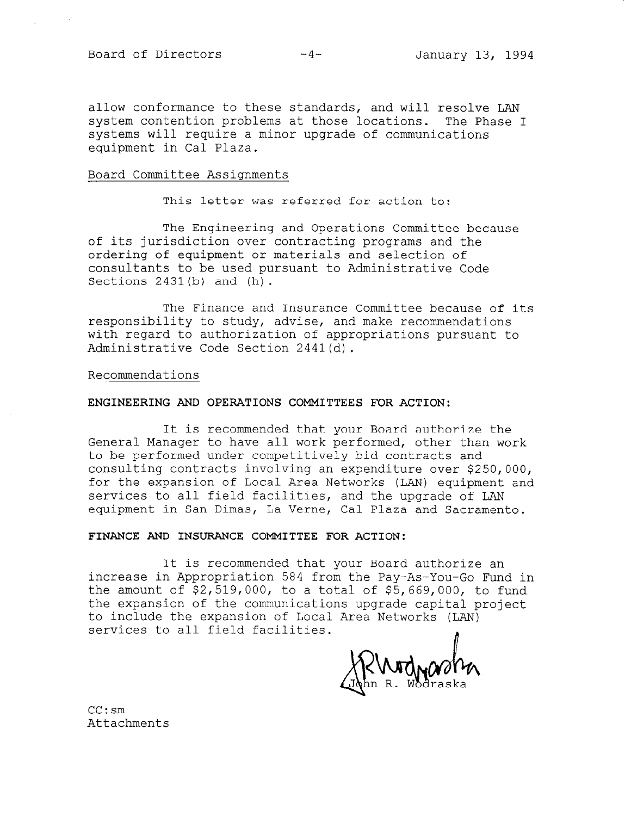allow conformance to these standards, and will resolve LAN system contention problems at those locations. The Phase I systems will require a minor upgrade of communications equipment in Cal Plaza.

## Board Committee Assignments

This letter was referred for action to:

The Engineering and Operations Committee because of its jurisdiction over contracting programs and the ordering of equipment or materials and selection of consultants to be used pursuant to Administrative Code Sections 2431(b) and (h).

The Finance and Insurance Committee because of its responsibility to study, advise, and make recommendations with regard to authorization of appropriations pursuant to Administrative Code Section 2441(d).

Recommendations

## ENGINEERING AND OPERATIONS COMMITTEES FOR ACTION:

It is recommended that your Board authorize the General Manager to have all work performed, other than work to be performed under competitively bid contracts and consulting contracts involving an expenditure over \$250,000, for the expansion of Local Area Networks (LAN) equipment and services to all field facilities, and the upgrade of LAN equipment in San Dimas, La Verne, Cal Plaza and Sacramento.

## FINANCE AND INSURANCE COMMITTEE FOR ACTION:

It is recommended that your Board authorize an increase in Appropriation 584 from the Pay-As-You-Go Fund in the amount of \$2,519,000, to a total of \$5,669,000, to fund the expansion of the communications upgrade capital project to include the expansion of Local Area Networks (LAN) services to all field facilities.

n

CC:sm Attachments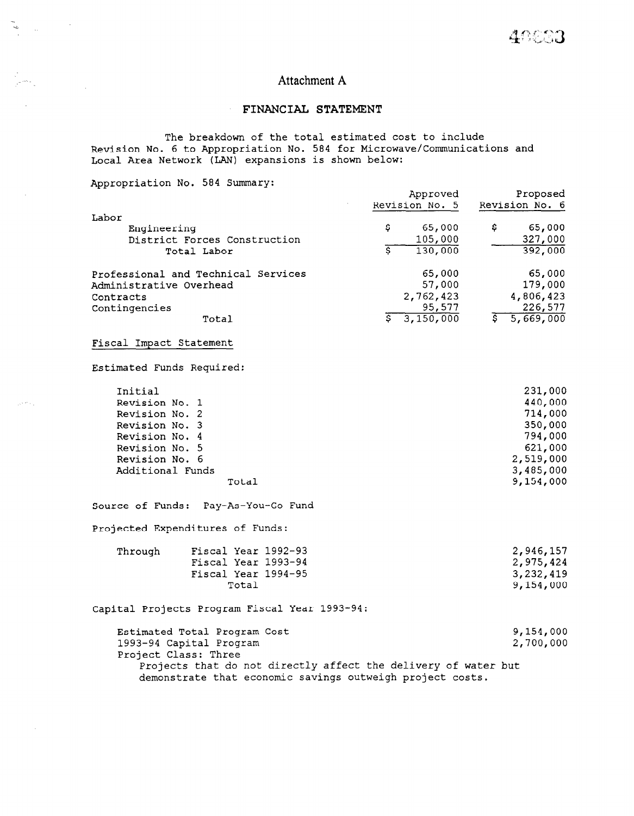# Attachment A

# FINANCIAL STATEMENT

The breakdown of the total estimated cost to include Revision No. 6 to Appropriation No. 584 for Microwave/Communications and Local Area Network (LAN) expansions is shown below:

Appropriation No. 584 Summary:

 $\sim$ 

 $\frac{1}{\gamma} \sum_{i=1}^{N}$  $\sim 1$ 

 $\mathcal{A}$ 

 $\langle \rho \rangle^{\frac{1}{2} + \frac{1}{2}}$  .

 $\mathcal{L}^{\text{max}}_{\text{max}}$ 

|                                                                | Approved<br>Revision No. 5 | Proposed<br>Revision No. 6             |
|----------------------------------------------------------------|----------------------------|----------------------------------------|
| Labor                                                          |                            |                                        |
| Engineering                                                    | \$<br>65,000               | \$.<br>65,000                          |
| District Forces Construction                                   | 105,000                    | 327,000                                |
| Total Labor                                                    | s<br>130,000               | 392,000                                |
| Professional and Technical Services                            | 65,000                     | 65,000                                 |
| Administrative Overhead                                        | 57,000                     | 179,000                                |
| Contracts                                                      | 2,762,423                  | 4,806,423                              |
| Contingencies                                                  | 95,577                     | 226,577                                |
| Total                                                          | ङ<br>3,150,000             | $\overline{\overline{s}}$<br>5,669,000 |
| Fiscal Impact Statement                                        |                            |                                        |
| Estimated Funds Required:                                      |                            |                                        |
| Initial                                                        |                            | 231,000                                |
| Revision No. 1                                                 |                            | 440,000                                |
| Revision No. 2                                                 |                            | 714,000                                |
| Revision No. 3                                                 |                            | 350,000                                |
| Revision No. 4                                                 |                            | 794,000                                |
| Revision No. 5                                                 |                            | 621,000                                |
| Revision No. 6                                                 |                            | 2,519,000                              |
| Additional Funds                                               |                            | 3,485,000                              |
| Total                                                          |                            | 9,154,000                              |
| Source of Funds: Pay-As-You-Go Fund                            |                            |                                        |
| Projected Expenditures of Funds:                               |                            |                                        |
| Fiscal Year 1992-93<br>Through                                 |                            | 2,946,157                              |
| Fiscal Year 1993-94                                            |                            | 2,975,424                              |
| Fiscal Year 1994-95                                            |                            | 3,232,419                              |
| Total                                                          |                            | 9,154,000                              |
| Capital Projects Program Fiscal Year 1993-94:                  |                            |                                        |
| Estimated Total Program Cost                                   |                            | 9,154,000                              |
| 1993-94 Capital Program                                        |                            | 2,700,000                              |
| Project Class: Three                                           |                            |                                        |
| Projects that do not directly affect the delivery of water but |                            |                                        |

demonstrate that economic savings outweigh project costs.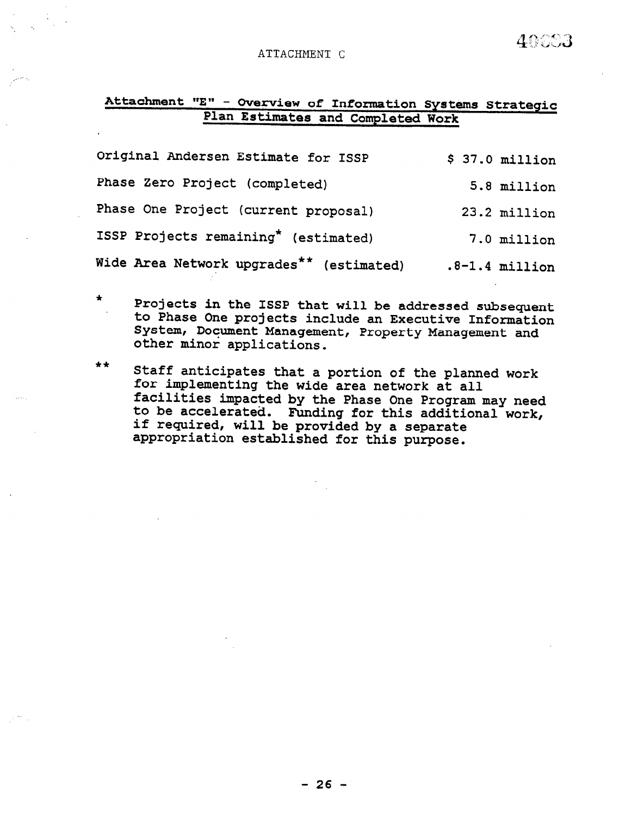## ATTACHMENT C

# Attachment "E" - Overview of Information Systems Strate Plan Estimates and Completed Work

| Original Andersen Estimate for ISSP      | $$37.0$ million  |
|------------------------------------------|------------------|
| Phase Zero Project (completed)           | 5.8 million      |
| Phase One Project (current proposal)     | 23.2 million     |
| ISSP Projects remaining* (estimated)     | 7.0 million      |
| Wide Area Network upgrades** (estimated) | $.8-1.4$ million |

Projects in the ISSP that will be addressed subsequent to Phase One projects include an Executive Information System, Document Management, Property Management and other minor applications.

\*\* Staff anticipates that a portion of the planned work for implementing the wide area network at all facilities impacted by the Phase One Program may need -workerse rings<br>to be accelerat if require Funding for this additional work, will be provided by a separate appropriation established for this purpose.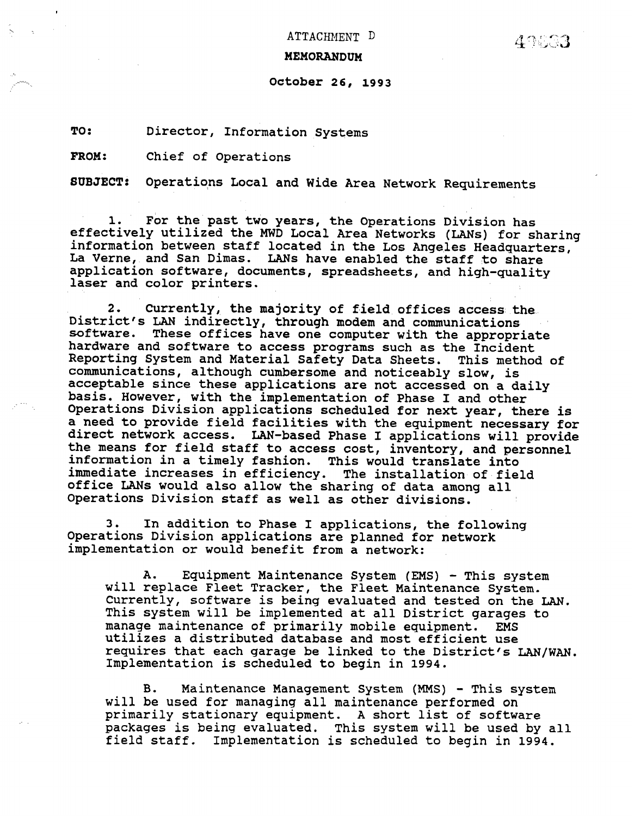ATTACHNENT D

## MEMORANDUM

# October 26, 1993

TO: Director, Information Systems

FROM: Chief of Operations

SUBJECT: Operations Local and Wide Area Network Requirements

1. For the past two years, the Operations Division has effectively utilized the MWD Local Area Networks (LANs) for sharing information between staff located in the Los Angeles Headquarters, La Verne, and San Dimas. LANs have enabled the staff to share application software, documents, spreadsheets, and high-quality laser and color printers.

2. Currently, the majority of field offices access the District's LAN indirectly, through modem and communications pistrict s may fluitectly, through modem and communications<br>software. These offices have and computer with the appropri software. These offices have one computer with the appropriation of the Incident naruware and Sortware to access programs such as the incluent<br>Penorting System and Material Safety Data Sheets. This method of reporting system and material safety Data Sneets. This met communications, although cumbersome and noticeably slow, is acceptable since these applications are not accessed on a d basis. However, with the implementation of Phase I and other Operations Division applications scheduled for next year, there is a need to provide field facilities with the equipment necessary for direct network access. LAN-based Phase I applications will provide the means for field staff to access cost, inventory, and personnel information in a timely fashion. This would translate into immediate increases in efficiency. The installation of field office LANs would also allow the sharing of data among all<br>Operations Division staff as well as other divisions.

3.  $\mathbf 3$  . In addition to Phase I applications, the following n addition to Phase I applications, the foll Operations Division applications are planned for network implementation or would benefit from a network:

 $A \sim \mathcal{A} \sim \mathcal{A} \sim \mathcal{A} \sim \mathcal{A} \sim \mathcal{A} \sim \mathcal{A} \sim \mathcal{A} \sim \mathcal{A} \sim \mathcal{A} \sim \mathcal{A} \sim \mathcal{A} \sim \mathcal{A} \sim \mathcal{A} \sim \mathcal{A} \sim \mathcal{A} \sim \mathcal{A} \sim \mathcal{A} \sim \mathcal{A} \sim \mathcal{A} \sim \mathcal{A} \sim \mathcal{A} \sim \mathcal{A} \sim \mathcal{A} \sim \mathcal{A} \sim \mathcal{A} \sim \mathcal{A} \sim \mathcal{A} \sim \$ A. Equipment Maintenance System (EMS) - This syst will replace Fleet Tracker, the Fleet Maintenance System. Currently, software is being evaluated and tested on the LAN. This system will be implemented at all District garages to manage maintenance of primarily mobile equipment. EMS utilizes a distributed database and most efficient use requires that each garage be linked to the District's LAN/WAN.<br>Implementation is scheduled to begin in 1994.

B. Maintenance Management System (MMS) - This system will be used for managing all maintenance performed on primarily stationary equipment. A short list of software packages is being evaluated. This system will be used by all field staff. Implementation is scheduled to begin in 1994.

B. Maintenance Management System (MMS) - This system